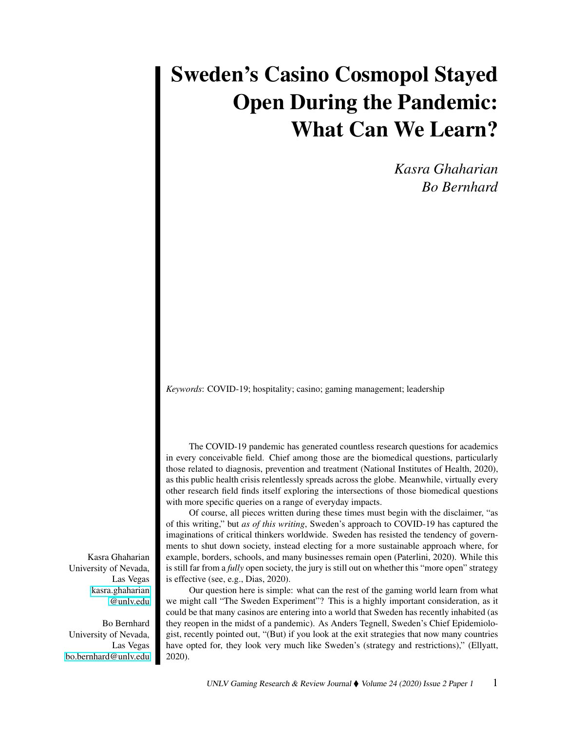## Sweden's Casino Cosmopol Stayed Open During the Pandemic: What Can We Learn?

*Kasra Ghaharian Bo Bernhard*

*Keywords*: COVID-19; hospitality; casino; gaming management; leadership

The COVID-19 pandemic has generated countless research questions for academics in every conceivable field. Chief among those are the biomedical questions, particularly those related to diagnosis, prevention and treatment (National Institutes of Health, 2020), as this public health crisis relentlessly spreads across the globe. Meanwhile, virtually every other research field finds itself exploring the intersections of those biomedical questions with more specific queries on a range of everyday impacts.

Of course, all pieces written during these times must begin with the disclaimer, "as of this writing," but *as of this writing*, Sweden's approach to COVID-19 has captured the imaginations of critical thinkers worldwide. Sweden has resisted the tendency of governments to shut down society, instead electing for a more sustainable approach where, for example, borders, schools, and many businesses remain open (Paterlini, 2020). While this is still far from a *fully* open society, the jury is still out on whether this "more open" strategy is effective (see, e.g., Dias, 2020).

Our question here is simple: what can the rest of the gaming world learn from what we might call "The Sweden Experiment"? This is a highly important consideration, as it could be that many casinos are entering into a world that Sweden has recently inhabited (as they reopen in the midst of a pandemic). As Anders Tegnell, Sweden's Chief Epidemiologist, recently pointed out, "(But) if you look at the exit strategies that now many countries have opted for, they look very much like Sweden's (strategy and restrictions)," (Ellyatt, 2020).

Kasra Ghaharian University of Nevada, Las Vegas [kasra.ghaharian](mailto:kasra.ghaharian@unlv.edu) [@unlv.edu](mailto:kasra.ghaharian@unlv.edu)

Bo Bernhard University of Nevada, Las Vegas [bo.bernhard@unlv.edu](mailto:bo.bernhard@unlv.edu)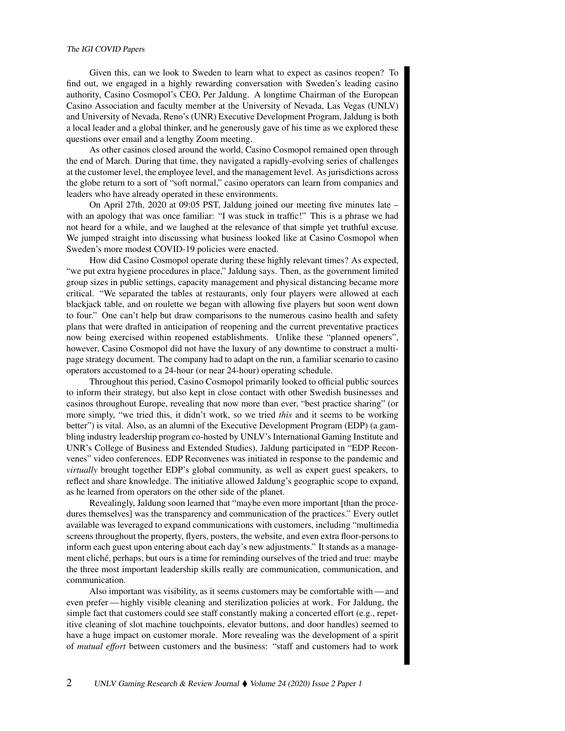## The IGI COVID Papers

Given this, can we look to Sweden to learn what to expect as casinos reopen? To find out, we engaged in a highly rewarding conversation with Sweden's leading casino authority, Casino Cosmopol's CEO, Per Jaldung. A longtime Chairman of the European Casino Association and faculty member at the University of Nevada, Las Vegas (UNLV) and University of Nevada, Reno's (UNR) Executive Development Program, Jaldung is both a local leader and a global thinker, and he generously gave of his time as we explored these questions over email and a lengthy Zoom meeting.

As other casinos closed around the world, Casino Cosmopol remained open through the end of March. During that time, they navigated a rapidly-evolving series of challenges at the customer level, the employee level, and the management level. As jurisdictions across the globe return to a sort of "soft normal," casino operators can learn from companies and leaders who have already operated in these environments.

On April 27th, 2020 at 09:05 PST, Jaldung joined our meeting five minutes late – with an apology that was once familiar: "I was stuck in traffic!" This is a phrase we had not heard for a while, and we laughed at the relevance of that simple yet truthful excuse. We jumped straight into discussing what business looked like at Casino Cosmopol when Sweden's more modest COVID-19 policies were enacted.

How did Casino Cosmopol operate during these highly relevant times? As expected, "we put extra hygiene procedures in place," Jaldung says. Then, as the government limited group sizes in public settings, capacity management and physical distancing became more critical. "We separated the tables at restaurants, only four players were allowed at each blackjack table, and on roulette we began with allowing five players but soon went down to four." One can't help but draw comparisons to the numerous casino health and safety plans that were drafted in anticipation of reopening and the current preventative practices now being exercised within reopened establishments. Unlike these "planned openers", however, Casino Cosmopol did not have the luxury of any downtime to construct a multipage strategy document. The company had to adapt on the run, a familiar scenario to casino operators accustomed to a 24-hour (or near 24-hour) operating schedule.

Throughout this period, Casino Cosmopol primarily looked to official public sources to inform their strategy, but also kept in close contact with other Swedish businesses and casinos throughout Europe, revealing that now more than ever, "best practice sharing" (or more simply, "we tried this, it didn't work, so we tried *this* and it seems to be working better") is vital. Also, as an alumni of the Executive Development Program (EDP) (a gambling industry leadership program co-hosted by UNLV's International Gaming Institute and UNR's College of Business and Extended Studies), Jaldung participated in "EDP Reconvenes" video conferences. EDP Reconvenes was initiated in response to the pandemic and *virtually* brought together EDP's global community, as well as expert guest speakers, to reflect and share knowledge. The initiative allowed Jaldung's geographic scope to expand, as he learned from operators on the other side of the planet.

Revealingly, Jaldung soon learned that "maybe even more important [than the procedures themselves] was the transparency and communication of the practices." Every outlet available was leveraged to expand communications with customers, including "multimedia screens throughout the property, flyers, posters, the website, and even extra floor-persons to inform each guest upon entering about each day's new adjustments." It stands as a management cliché, perhaps, but ours is a time for reminding ourselves of the tried and true: maybe the three most important leadership skills really are communication, communication, and communication.

Also important was visibility, as it seems customers may be comfortable with — and even prefer— highly visible cleaning and sterilization policies at work. For Jaldung, the simple fact that customers could see staff constantly making a concerted effort (e.g., repetitive cleaning of slot machine touchpoints, elevator buttons, and door handles) seemed to have a huge impact on customer morale. More revealing was the development of a spirit of *mutual effort* between customers and the business: "staff and customers had to work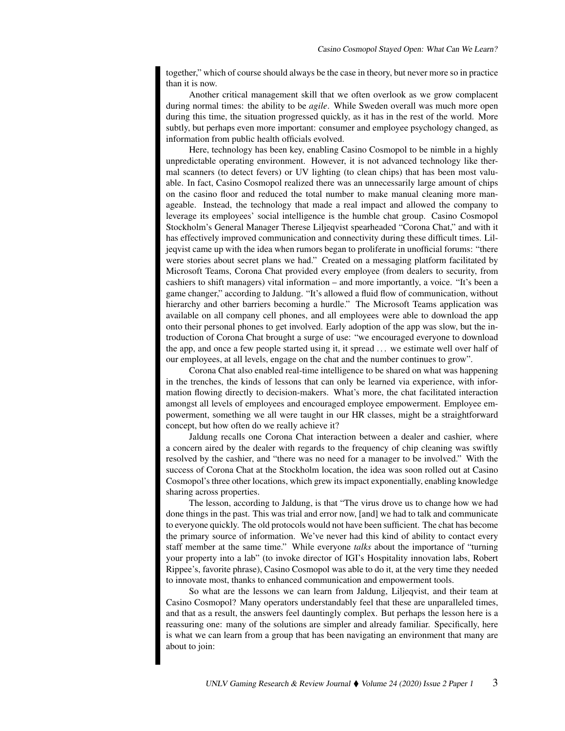together," which of course should always be the case in theory, but never more so in practice than it is now.

Another critical management skill that we often overlook as we grow complacent during normal times: the ability to be *agile*. While Sweden overall was much more open during this time, the situation progressed quickly, as it has in the rest of the world. More subtly, but perhaps even more important: consumer and employee psychology changed, as information from public health officials evolved.

Here, technology has been key, enabling Casino Cosmopol to be nimble in a highly unpredictable operating environment. However, it is not advanced technology like thermal scanners (to detect fevers) or UV lighting (to clean chips) that has been most valuable. In fact, Casino Cosmopol realized there was an unnecessarily large amount of chips on the casino floor and reduced the total number to make manual cleaning more manageable. Instead, the technology that made a real impact and allowed the company to leverage its employees' social intelligence is the humble chat group. Casino Cosmopol Stockholm's General Manager Therese Liljeqvist spearheaded "Corona Chat," and with it has effectively improved communication and connectivity during these difficult times. Liljeqvist came up with the idea when rumors began to proliferate in unofficial forums: "there were stories about secret plans we had." Created on a messaging platform facilitated by Microsoft Teams, Corona Chat provided every employee (from dealers to security, from cashiers to shift managers) vital information – and more importantly, a voice. "It's been a game changer," according to Jaldung. "It's allowed a fluid flow of communication, without hierarchy and other barriers becoming a hurdle." The Microsoft Teams application was available on all company cell phones, and all employees were able to download the app onto their personal phones to get involved. Early adoption of the app was slow, but the introduction of Corona Chat brought a surge of use: "we encouraged everyone to download the app, and once a few people started using it, it spread . . . we estimate well over half of our employees, at all levels, engage on the chat and the number continues to grow".

Corona Chat also enabled real-time intelligence to be shared on what was happening in the trenches, the kinds of lessons that can only be learned via experience, with information flowing directly to decision-makers. What's more, the chat facilitated interaction amongst all levels of employees and encouraged employee empowerment. Employee empowerment, something we all were taught in our HR classes, might be a straightforward concept, but how often do we really achieve it?

Jaldung recalls one Corona Chat interaction between a dealer and cashier, where a concern aired by the dealer with regards to the frequency of chip cleaning was swiftly resolved by the cashier, and "there was no need for a manager to be involved." With the success of Corona Chat at the Stockholm location, the idea was soon rolled out at Casino Cosmopol's three other locations, which grew its impact exponentially, enabling knowledge sharing across properties.

The lesson, according to Jaldung, is that "The virus drove us to change how we had done things in the past. This was trial and error now, [and] we had to talk and communicate to everyone quickly. The old protocols would not have been sufficient. The chat has become the primary source of information. We've never had this kind of ability to contact every staff member at the same time." While everyone *talks* about the importance of "turning your property into a lab" (to invoke director of IGI's Hospitality innovation labs, Robert Rippee's, favorite phrase), Casino Cosmopol was able to do it, at the very time they needed to innovate most, thanks to enhanced communication and empowerment tools.

So what are the lessons we can learn from Jaldung, Liljeqvist, and their team at Casino Cosmopol? Many operators understandably feel that these are unparalleled times, and that as a result, the answers feel dauntingly complex. But perhaps the lesson here is a reassuring one: many of the solutions are simpler and already familiar. Specifically, here is what we can learn from a group that has been navigating an environment that many are about to join: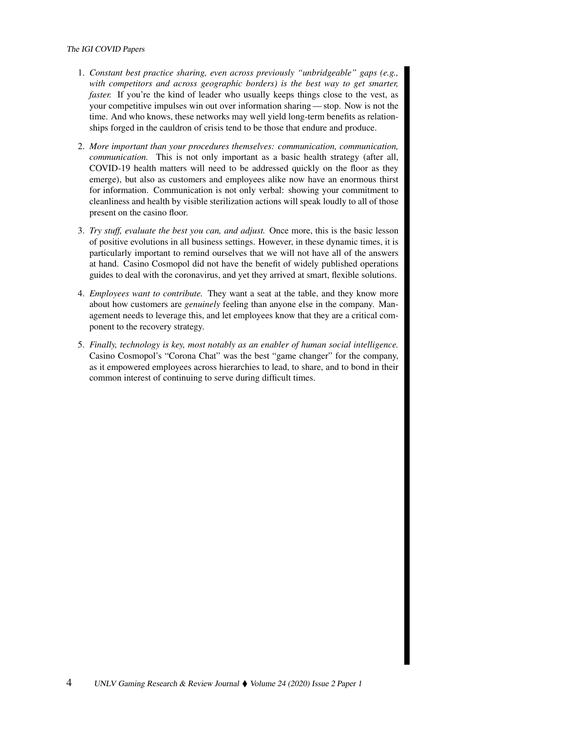## The IGI COVID Papers

- 1. *Constant best practice sharing, even across previously "unbridgeable" gaps (e.g., with competitors and across geographic borders) is the best way to get smarter, faster.* If you're the kind of leader who usually keeps things close to the vest, as your competitive impulses win out over information sharing — stop. Now is not the time. And who knows, these networks may well yield long-term benefits as relationships forged in the cauldron of crisis tend to be those that endure and produce.
- 2. *More important than your procedures themselves: communication, communication, communication.* This is not only important as a basic health strategy (after all, COVID-19 health matters will need to be addressed quickly on the floor as they emerge), but also as customers and employees alike now have an enormous thirst for information. Communication is not only verbal: showing your commitment to cleanliness and health by visible sterilization actions will speak loudly to all of those present on the casino floor.
- 3. *Try stuff, evaluate the best you can, and adjust.* Once more, this is the basic lesson of positive evolutions in all business settings. However, in these dynamic times, it is particularly important to remind ourselves that we will not have all of the answers at hand. Casino Cosmopol did not have the benefit of widely published operations guides to deal with the coronavirus, and yet they arrived at smart, flexible solutions.
- 4. *Employees want to contribute.* They want a seat at the table, and they know more about how customers are *genuinely* feeling than anyone else in the company. Management needs to leverage this, and let employees know that they are a critical component to the recovery strategy.
- 5. *Finally, technology is key, most notably as an enabler of human social intelligence.* Casino Cosmopol's "Corona Chat" was the best "game changer" for the company, as it empowered employees across hierarchies to lead, to share, and to bond in their common interest of continuing to serve during difficult times.